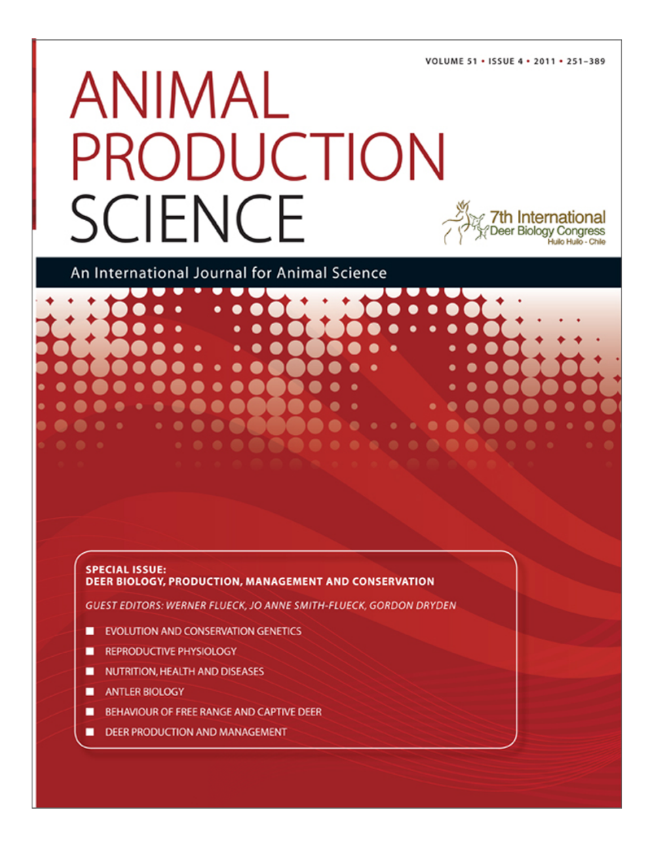VOLUME 51 . ISSUE 4 . 2011 . 251-389

# ANIMAL PRODUCTION **SCIENCE**

An International Journal for Animal Science

# **SPECIAL ISSUE: DEER BIOLOGY, PRODUCTION, MANAGEMENT AND CONSERVATION**

**GUEST EDITORS: WERNER FLUECK, JO ANNE SMITH-FLUECK, GORDON DRYDEN** 

- **EVOLUTION AND CONSERVATION GENETICS**
- **REPRODUCTIVE PHYSIOLOGY**
- NUTRITION, HEALTH AND DISEASES
- **ANTLER BIOLOGY**
- BEHAVIOUR OF FREE RANGE AND CAPTIVE DEER
- **DEER PRODUCTION AND MANAGEMENT**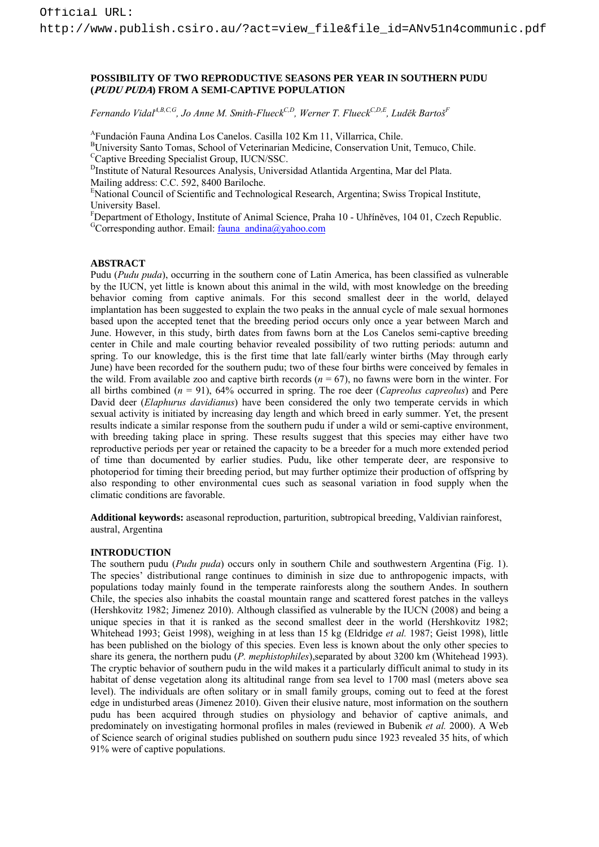## **POSSIBILITY OF TWO REPRODUCTIVE SEASONS PER YEAR IN SOUTHERN PUDU (PUDU PUDA) FROM A SEMI-CAPTIVE POPULATION**

*Fernando VidalA,B,C,G, Jo Anne M. Smith-FlueckC,D, Werner T. FlueckC,D,E, Luděk BartošF*

AFundación Fauna Andina Los Canelos. Casilla 102 Km 11, Villarrica, Chile.

BUniversity Santo Tomas, School of Veterinarian Medicine, Conservation Unit, Temuco, Chile. <sup>C</sup>Captive Breeding Specialist Group, IUCN/SSC.

<sup>D</sup>Institute of Natural Resources Analysis, Universidad Atlantida Argentina, Mar del Plata.

Mailing address: C.C. 592, 8400 Bariloche.

E National Council of Scientific and Technological Research, Argentina; Swiss Tropical Institute, University Basel.

<sup>F</sup>Department of Ethology, Institute of Animal Science, Praha 10 - Uhříněves, 104 01, Czech Republic.<br><sup>G</sup>Corresponding author. Email: <u>fauna\_andina@yahoo.com</u>

# **ABSTRACT**

Pudu (*Pudu puda*), occurring in the southern cone of Latin America, has been classified as vulnerable by the IUCN, yet little is known about this animal in the wild, with most knowledge on the breeding behavior coming from captive animals. For this second smallest deer in the world, delayed implantation has been suggested to explain the two peaks in the annual cycle of male sexual hormones based upon the accepted tenet that the breeding period occurs only once a year between March and June. However, in this study, birth dates from fawns born at the Los Canelos semi-captive breeding center in Chile and male courting behavior revealed possibility of two rutting periods: autumn and spring. To our knowledge, this is the first time that late fall/early winter births (May through early June) have been recorded for the southern pudu; two of these four births were conceived by females in the wild. From available zoo and captive birth records  $(n = 67)$ , no fawns were born in the winter. For all births combined (*n* = 91), 64% occurred in spring. The roe deer (*Capreolus capreolus*) and Pere David deer (*Elaphurus davidianus*) have been considered the only two temperate cervids in which sexual activity is initiated by increasing day length and which breed in early summer. Yet, the present results indicate a similar response from the southern pudu if under a wild or semi-captive environment, with breeding taking place in spring. These results suggest that this species may either have two reproductive periods per year or retained the capacity to be a breeder for a much more extended period of time than documented by earlier studies. Pudu, like other temperate deer, are responsive to photoperiod for timing their breeding period, but may further optimize their production of offspring by also responding to other environmental cues such as seasonal variation in food supply when the climatic conditions are favorable.

**Additional keywords:** aseasonal reproduction, parturition, subtropical breeding, Valdivian rainforest, austral, Argentina

### **INTRODUCTION**

The southern pudu (*Pudu puda*) occurs only in southern Chile and southwestern Argentina (Fig. 1). The species' distributional range continues to diminish in size due to anthropogenic impacts, with populations today mainly found in the temperate rainforests along the southern Andes. In southern Chile, the species also inhabits the coastal mountain range and scattered forest patches in the valleys (Hershkovitz 1982; Jimenez 2010). Although classified as vulnerable by the IUCN (2008) and being a unique species in that it is ranked as the second smallest deer in the world (Hershkovitz 1982; Whitehead 1993; Geist 1998), weighing in at less than 15 kg (Eldridge *et al.* 1987; Geist 1998), little has been published on the biology of this species. Even less is known about the only other species to share its genera, the northern pudu (*P. mephistophiles*),separated by about 3200 km (Whitehead 1993). The cryptic behavior of southern pudu in the wild makes it a particularly difficult animal to study in its habitat of dense vegetation along its altitudinal range from sea level to 1700 masl (meters above sea level). The individuals are often solitary or in small family groups, coming out to feed at the forest edge in undisturbed areas (Jimenez 2010). Given their elusive nature, most information on the southern pudu has been acquired through studies on physiology and behavior of captive animals, and predominately on investigating hormonal profiles in males (reviewed in Bubenik *et al.* 2000). A Web of Science search of original studies published on southern pudu since 1923 revealed 35 hits, of which 91% were of captive populations.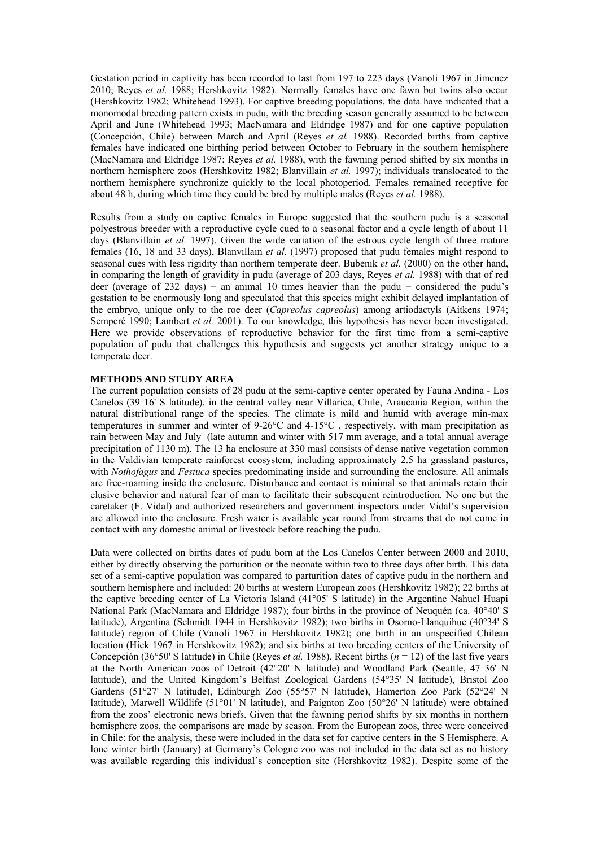Gestation period in captivity has been recorded to last from 197 to 223 days (Vanoli 1967 in Jimenez 2010; Reyes *et al.* 1988; Hershkovitz 1982). Normally females have one fawn but twins also occur (Hershkovitz 1982; Whitehead 1993). For captive breeding populations, the data have indicated that a monomodal breeding pattern exists in pudu, with the breeding season generally assumed to be between April and June (Whitehead 1993; MacNamara and Eldridge 1987) and for one captive population (Concepción, Chile) between March and April (Reyes *et al.* 1988). Recorded births from captive females have indicated one birthing period between October to February in the southern hemisphere (MacNamara and Eldridge 1987; Reyes *et al.* 1988), with the fawning period shifted by six months in northern hemisphere zoos (Hershkovitz 1982; Blanvillain *et al.* 1997); individuals translocated to the northern hemisphere synchronize quickly to the local photoperiod. Females remained receptive for about 48 h, during which time they could be bred by multiple males (Reyes *et al.* 1988).

Results from a study on captive females in Europe suggested that the southern pudu is a seasonal polyestrous breeder with a reproductive cycle cued to a seasonal factor and a cycle length of about 11 days (Blanvillain *et al.* 1997). Given the wide variation of the estrous cycle length of three mature females (16, 18 and 33 days), Blanvillain *et al.* (1997) proposed that pudu females might respond to seasonal cues with less rigidity than northern temperate deer. Bubenik *et al.* (2000) on the other hand, in comparing the length of gravidity in pudu (average of 203 days, Reyes *et al.* 1988) with that of red deer (average of 232 days) – an animal 10 times heavier than the pudu – considered the pudu's gestation to be enormously long and speculated that this species might exhibit delayed implantation of the embryo, unique only to the roe deer (*Capreolus capreolus*) among artiodactyls (Aitkens 1974; Semperé 1990; Lambert *et al.* 2001). To our knowledge, this hypothesis has never been investigated. Here we provide observations of reproductive behavior for the first time from a semi-captive population of pudu that challenges this hypothesis and suggests yet another strategy unique to a temperate deer.

#### **METHODS AND STUDY AREA**

The current population consists of 28 pudu at the semi-captive center operated by Fauna Andina - Los Canelos (39°16' S latitude), in the central valley near Villarica, Chile, Araucania Region, within the natural distributional range of the species. The climate is mild and humid with average min-max temperatures in summer and winter of 9-26°C and 4-15°C , respectively, with main precipitation as rain between May and July (late autumn and winter with 517 mm average, and a total annual average precipitation of 1130 m). The 13 ha enclosure at 330 masl consists of dense native vegetation common in the Valdivian temperate rainforest ecosystem, including approximately 2.5 ha grassland pastures, with *Nothofagus* and *Festuca* species predominating inside and surrounding the enclosure. All animals are free-roaming inside the enclosure. Disturbance and contact is minimal so that animals retain their elusive behavior and natural fear of man to facilitate their subsequent reintroduction. No one but the caretaker (F. Vidal) and authorized researchers and government inspectors under Vidal's supervision are allowed into the enclosure. Fresh water is available year round from streams that do not come in contact with any domestic animal or livestock before reaching the pudu.

Data were collected on births dates of pudu born at the Los Canelos Center between 2000 and 2010, either by directly observing the parturition or the neonate within two to three days after birth. This data set of a semi-captive population was compared to parturition dates of captive pudu in the northern and southern hemisphere and included: 20 births at western European zoos (Hershkovitz 1982); 22 births at the captive breeding center of La Victoria Island (41°05' S latitude) in the Argentine Nahuel Huapi National Park (MacNamara and Eldridge 1987); four births in the province of Neuquén (ca. 40°40' S latitude), Argentina (Schmidt 1944 in Hershkovitz 1982); two births in Osorno-Llanquihue (40°34' S latitude) region of Chile (Vanoli 1967 in Hershkovitz 1982); one birth in an unspecified Chilean location (Hick 1967 in Hershkovitz 1982); and six births at two breeding centers of the University of Concepción (36°50' S latitude) in Chile (Reyes *et al.* 1988). Recent births (*n* = 12) of the last five years at the North American zoos of Detroit (42°20' N latitude) and Woodland Park (Seattle, 47 36' N latitude), and the United Kingdom's Belfast Zoological Gardens (54°35' N latitude), Bristol Zoo Gardens (51°27' N latitude), Edinburgh Zoo (55°57' N latitude), Hamerton Zoo Park (52°24' N latitude), Marwell Wildlife (51°01' N latitude), and Paignton Zoo (50°26' N latitude) were obtained from the zoos' electronic news briefs. Given that the fawning period shifts by six months in northern hemisphere zoos, the comparisons are made by season. From the European zoos, three were conceived in Chile: for the analysis, these were included in the data set for captive centers in the S Hemisphere. A lone winter birth (January) at Germany's Cologne zoo was not included in the data set as no history was available regarding this individual's conception site (Hershkovitz 1982). Despite some of the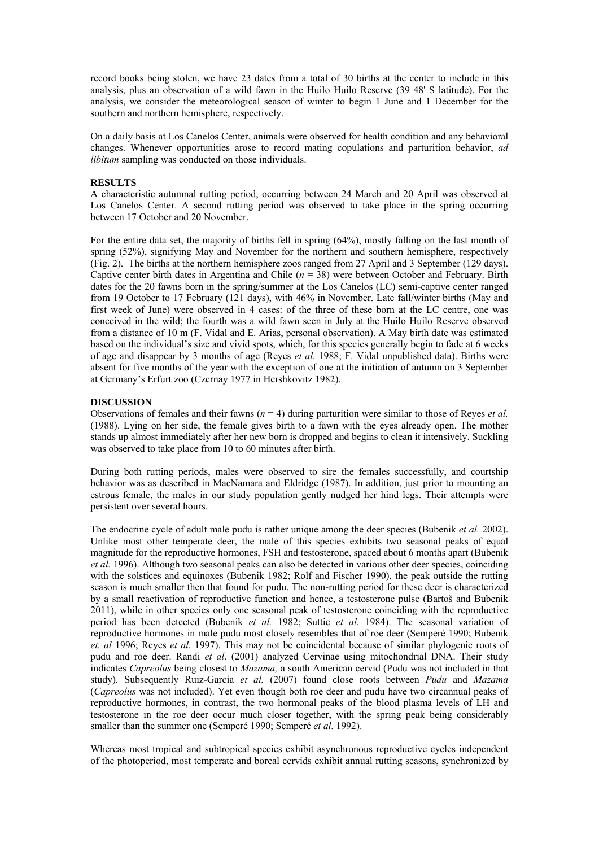record books being stolen, we have 23 dates from a total of 30 births at the center to include in this analysis, plus an observation of a wild fawn in the Huilo Huilo Reserve (39 48' S latitude). For the analysis, we consider the meteorological season of winter to begin 1 June and 1 December for the southern and northern hemisphere, respectively.

On a daily basis at Los Canelos Center, animals were observed for health condition and any behavioral changes. Whenever opportunities arose to record mating copulations and parturition behavior, *ad libitum* sampling was conducted on those individuals.

#### **RESULTS**

A characteristic autumnal rutting period, occurring between 24 March and 20 April was observed at Los Canelos Center. A second rutting period was observed to take place in the spring occurring between 17 October and 20 November.

For the entire data set, the majority of births fell in spring (64%), mostly falling on the last month of spring (52%), signifying May and November for the northern and southern hemisphere, respectively (Fig. 2). The births at the northern hemisphere zoos ranged from 27 April and 3 September (129 days). Captive center birth dates in Argentina and Chile (*n* = 38) were between October and February. Birth dates for the 20 fawns born in the spring/summer at the Los Canelos (LC) semi-captive center ranged from 19 October to 17 February (121 days), with 46% in November. Late fall/winter births (May and first week of June) were observed in 4 cases: of the three of these born at the LC centre, one was conceived in the wild; the fourth was a wild fawn seen in July at the Huilo Huilo Reserve observed from a distance of 10 m (F. Vidal and E. Arias, personal observation). A May birth date was estimated based on the individual's size and vivid spots, which, for this species generally begin to fade at 6 weeks of age and disappear by 3 months of age (Reyes *et al.* 1988; F. Vidal unpublished data). Births were absent for five months of the year with the exception of one at the initiation of autumn on 3 September at Germany's Erfurt zoo (Czernay 1977 in Hershkovitz 1982).

#### **DISCUSSION**

Observations of females and their fawns (*n* = 4) during parturition were similar to those of Reyes *et al.*  (1988). Lying on her side, the female gives birth to a fawn with the eyes already open. The mother stands up almost immediately after her new born is dropped and begins to clean it intensively. Suckling was observed to take place from 10 to 60 minutes after birth.

During both rutting periods, males were observed to sire the females successfully, and courtship behavior was as described in MacNamara and Eldridge (1987). In addition, just prior to mounting an estrous female, the males in our study population gently nudged her hind legs. Their attempts were persistent over several hours.

The endocrine cycle of adult male pudu is rather unique among the deer species (Bubenik *et al.* 2002). Unlike most other temperate deer, the male of this species exhibits two seasonal peaks of equal magnitude for the reproductive hormones, FSH and testosterone, spaced about 6 months apart (Bubenik *et al.* 1996). Although two seasonal peaks can also be detected in various other deer species, coinciding with the solstices and equinoxes (Bubenik 1982; Rolf and Fischer 1990), the peak outside the rutting season is much smaller then that found for pudu. The non-rutting period for these deer is characterized by a small reactivation of reproductive function and hence, a testosterone pulse (Bartoš and Bubenik 2011), while in other species only one seasonal peak of testosterone coinciding with the reproductive period has been detected (Bubenik *et al.* 1982; Suttie *et al.* 1984). The seasonal variation of reproductive hormones in male pudu most closely resembles that of roe deer (Semperé 1990; Bubenik *et. al* 1996; Reyes *et al.* 1997). This may not be coincidental because of similar phylogenic roots of pudu and roe deer. Randi *et al*. (2001) analyzed Cervinae using mitochondrial DNA. Their study indicates *Capreolus* being closest to *Mazama,* a south American cervid (Pudu was not included in that study). Subsequently Ruiz-García *et al.* (2007) found close roots between *Pudu* and *Mazama* (*Capreolus* was not included). Yet even though both roe deer and pudu have two circannual peaks of reproductive hormones, in contrast, the two hormonal peaks of the blood plasma levels of LH and testosterone in the roe deer occur much closer together, with the spring peak being considerably smaller than the summer one (Semperé 1990; Semperé *et al*. 1992).

Whereas most tropical and subtropical species exhibit asynchronous reproductive cycles independent of the photoperiod, most temperate and boreal cervids exhibit annual rutting seasons, synchronized by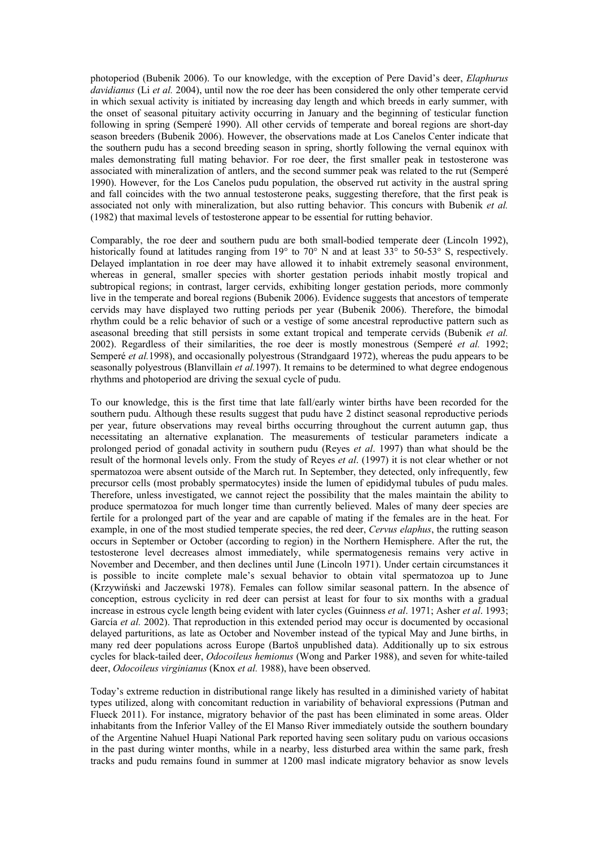photoperiod (Bubenik 2006). To our knowledge, with the exception of Pere David's deer, *Elaphurus davidianus* (Li *et al.* 2004), until now the roe deer has been considered the only other temperate cervid in which sexual activity is initiated by increasing day length and which breeds in early summer, with the onset of seasonal pituitary activity occurring in January and the beginning of testicular function following in spring (Semperé 1990). All other cervids of temperate and boreal regions are short-day season breeders (Bubenik 2006). However, the observations made at Los Canelos Center indicate that the southern pudu has a second breeding season in spring, shortly following the vernal equinox with males demonstrating full mating behavior. For roe deer, the first smaller peak in testosterone was associated with mineralization of antlers, and the second summer peak was related to the rut (Semperé 1990). However, for the Los Canelos pudu population, the observed rut activity in the austral spring and fall coincides with the two annual testosterone peaks, suggesting therefore, that the first peak is associated not only with mineralization, but also rutting behavior. This concurs with Bubenik *et al.*  (1982) that maximal levels of testosterone appear to be essential for rutting behavior.

Comparably, the roe deer and southern pudu are both small-bodied temperate deer (Lincoln 1992), historically found at latitudes ranging from 19° to 70° N and at least 33° to 50-53° S, respectively. Delayed implantation in roe deer may have allowed it to inhabit extremely seasonal environment, whereas in general, smaller species with shorter gestation periods inhabit mostly tropical and subtropical regions; in contrast, larger cervids, exhibiting longer gestation periods, more commonly live in the temperate and boreal regions (Bubenik 2006). Evidence suggests that ancestors of temperate cervids may have displayed two rutting periods per year (Bubenik 2006). Therefore, the bimodal rhythm could be a relic behavior of such or a vestige of some ancestral reproductive pattern such as aseasonal breeding that still persists in some extant tropical and temperate cervids (Bubenik *et al.*  2002). Regardless of their similarities, the roe deer is mostly monestrous (Semperé *et al.* 1992; Semperé *et al.*1998), and occasionally polyestrous (Strandgaard 1972), whereas the pudu appears to be seasonally polyestrous (Blanvillain *et al.*1997). It remains to be determined to what degree endogenous rhythms and photoperiod are driving the sexual cycle of pudu.

To our knowledge, this is the first time that late fall/early winter births have been recorded for the southern pudu. Although these results suggest that pudu have 2 distinct seasonal reproductive periods per year, future observations may reveal births occurring throughout the current autumn gap, thus necessitating an alternative explanation. The measurements of testicular parameters indicate a prolonged period of gonadal activity in southern pudu (Reyes *et al*. 1997) than what should be the result of the hormonal levels only. From the study of Reyes *et al*. (1997) it is not clear whether or not spermatozoa were absent outside of the March rut. In September, they detected, only infrequently, few precursor cells (most probably spermatocytes) inside the lumen of epididymal tubules of pudu males. Therefore, unless investigated, we cannot reject the possibility that the males maintain the ability to produce spermatozoa for much longer time than currently believed. Males of many deer species are fertile for a prolonged part of the year and are capable of mating if the females are in the heat. For example, in one of the most studied temperate species, the red deer, *Cervus elaphus*, the rutting season occurs in September or October (according to region) in the Northern Hemisphere. After the rut, the testosterone level decreases almost immediately, while spermatogenesis remains very active in November and December, and then declines until June (Lincoln 1971). Under certain circumstances it is possible to incite complete male's sexual behavior to obtain vital spermatozoa up to June (Krzywiński and Jaczewski 1978). Females can follow similar seasonal pattern. In the absence of conception, estrous cyclicity in red deer can persist at least for four to six months with a gradual increase in estrous cycle length being evident with later cycles (Guinness *et al*. 1971; Asher *et al*. 1993; García *et al.* 2002). That reproduction in this extended period may occur is documented by occasional delayed parturitions, as late as October and November instead of the typical May and June births, in many red deer populations across Europe (Bartoš unpublished data). Additionally up to six estrous cycles for black-tailed deer, *Odocoileus hemionus* (Wong and Parker 1988), and seven for white-tailed deer, *Odocoileus virginianus* (Knox *et al.* 1988), have been observed.

Today's extreme reduction in distributional range likely has resulted in a diminished variety of habitat types utilized, along with concomitant reduction in variability of behavioral expressions (Putman and Flueck 2011). For instance, migratory behavior of the past has been eliminated in some areas. Older inhabitants from the Inferior Valley of the El Manso River immediately outside the southern boundary of the Argentine Nahuel Huapi National Park reported having seen solitary pudu on various occasions in the past during winter months, while in a nearby, less disturbed area within the same park, fresh tracks and pudu remains found in summer at 1200 masl indicate migratory behavior as snow levels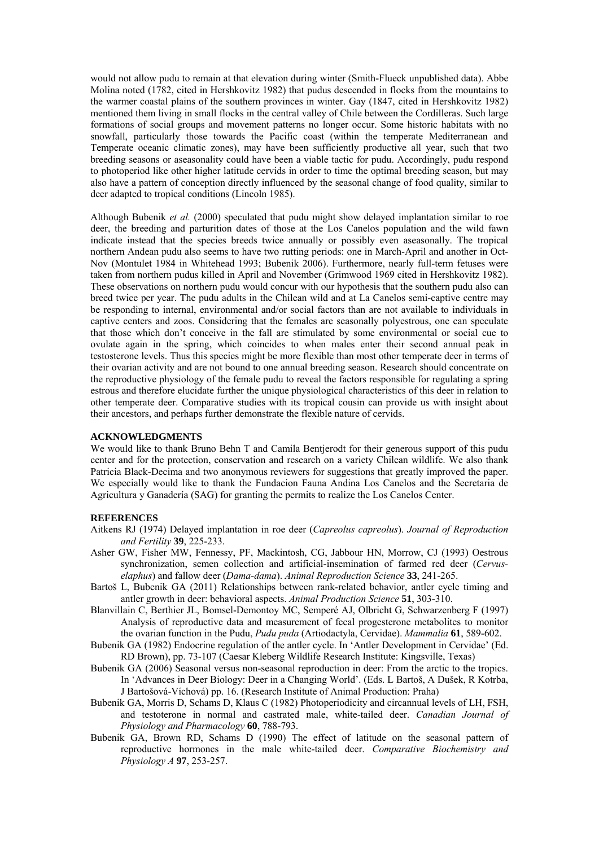would not allow pudu to remain at that elevation during winter (Smith-Flueck unpublished data). Abbe Molina noted (1782, cited in Hershkovitz 1982) that pudus descended in flocks from the mountains to the warmer coastal plains of the southern provinces in winter. Gay (1847, cited in Hershkovitz 1982) mentioned them living in small flocks in the central valley of Chile between the Cordilleras. Such large formations of social groups and movement patterns no longer occur. Some historic habitats with no snowfall, particularly those towards the Pacific coast (within the temperate Mediterranean and Temperate oceanic climatic zones), may have been sufficiently productive all year, such that two breeding seasons or aseasonality could have been a viable tactic for pudu. Accordingly, pudu respond to photoperiod like other higher latitude cervids in order to time the optimal breeding season, but may also have a pattern of conception directly influenced by the seasonal change of food quality, similar to deer adapted to tropical conditions (Lincoln 1985).

Although Bubenik *et al.* (2000) speculated that pudu might show delayed implantation similar to roe deer, the breeding and parturition dates of those at the Los Canelos population and the wild fawn indicate instead that the species breeds twice annually or possibly even aseasonally. The tropical northern Andean pudu also seems to have two rutting periods: one in March-April and another in Oct-Nov (Montulet 1984 in Whitehead 1993; Bubenik 2006). Furthermore, nearly full-term fetuses were taken from northern pudus killed in April and November (Grimwood 1969 cited in Hershkovitz 1982). These observations on northern pudu would concur with our hypothesis that the southern pudu also can breed twice per year. The pudu adults in the Chilean wild and at La Canelos semi-captive centre may be responding to internal, environmental and/or social factors than are not available to individuals in captive centers and zoos. Considering that the females are seasonally polyestrous, one can speculate that those which don't conceive in the fall are stimulated by some environmental or social cue to ovulate again in the spring, which coincides to when males enter their second annual peak in testosterone levels. Thus this species might be more flexible than most other temperate deer in terms of their ovarian activity and are not bound to one annual breeding season. Research should concentrate on the reproductive physiology of the female pudu to reveal the factors responsible for regulating a spring estrous and therefore elucidate further the unique physiological characteristics of this deer in relation to other temperate deer. Comparative studies with its tropical cousin can provide us with insight about their ancestors, and perhaps further demonstrate the flexible nature of cervids.

#### **ACKNOWLEDGMENTS**

We would like to thank Bruno Behn T and Camila Bentjerodt for their generous support of this pudu center and for the protection, conservation and research on a variety Chilean wildlife. We also thank Patricia Black-Decima and two anonymous reviewers for suggestions that greatly improved the paper. We especially would like to thank the Fundacion Fauna Andina Los Canelos and the Secretaria de Agricultura y Ganadería (SAG) for granting the permits to realize the Los Canelos Center.

#### **REFERENCES**

- Aitkens RJ (1974) Delayed implantation in roe deer (*Capreolus capreolus*). *Journal of Reproduction and Fertility* **39**, 225-233.
- Asher GW, Fisher MW, Fennessy, PF, Mackintosh, CG, Jabbour HN, Morrow, CJ (1993) Oestrous synchronization, semen collection and artificial-insemination of farmed red deer (*Cervuselaphus*) and fallow deer (*Dama-dama*). *Animal Reproduction Science* **33**, 241-265.
- Bartoš L, Bubenik GA (2011) Relationships between rank-related behavior, antler cycle timing and antler growth in deer: behavioral aspects. *Animal Production Science* **51**, 303-310.
- Blanvillain C, Berthier JL, Bomsel-Demontoy MC, Semperé AJ, Olbricht G, Schwarzenberg F (1997) Analysis of reproductive data and measurement of fecal progesterone metabolites to monitor the ovarian function in the Pudu, *Pudu puda* (Artiodactyla, Cervidae). *Mammalia* **61**, 589-602.
- Bubenik GA (1982) Endocrine regulation of the antler cycle. In 'Antler Development in Cervidae' (Ed. RD Brown), pp. 73-107 (Caesar Kleberg Wildlife Research Institute: Kingsville, Texas)
- Bubenik GA (2006) Seasonal versus non-seasonal reproduction in deer: From the arctic to the tropics. In 'Advances in Deer Biology: Deer in a Changing World'. (Eds. L Bartoš, A Dušek, R Kotrba, J Bartošová-Víchová) pp. 16. (Research Institute of Animal Production: Praha)
- Bubenik GA, Morris D, Schams D, Klaus C (1982) Photoperiodicity and circannual levels of LH, FSH, and testoterone in normal and castrated male, white-tailed deer. *Canadian Journal of Physiology and Pharmacology* **60**, 788-793.
- Bubenik GA, Brown RD, Schams D (1990) The effect of latitude on the seasonal pattern of reproductive hormones in the male white-tailed deer. *Comparative Biochemistry and Physiology A* **97**, 253-257.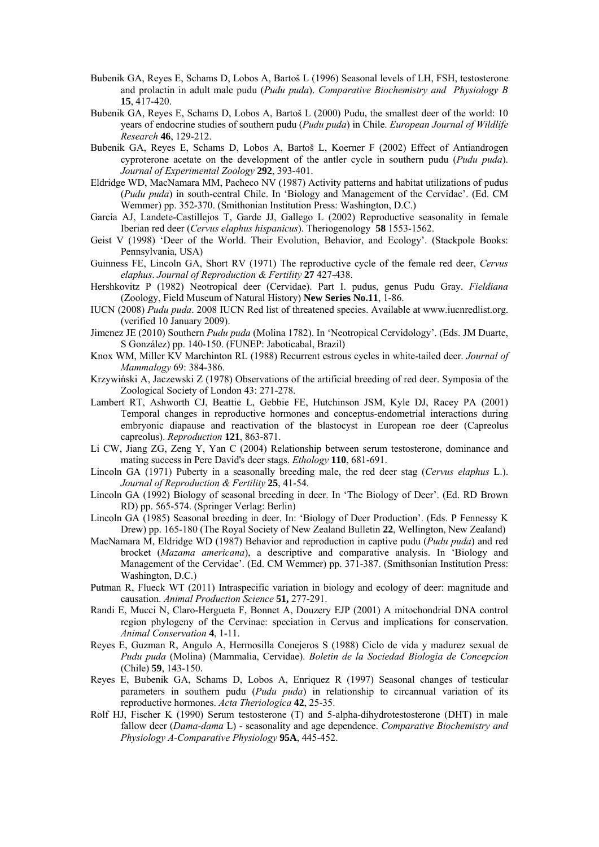- Bubenik GA, Reyes E, Schams D, Lobos A, Bartoš L (1996) Seasonal levels of LH, FSH, testosterone and prolactin in adult male pudu (*Pudu puda*). *Comparative Biochemistry and Physiology B*  **15**, 417-420.
- Bubenik GA, Reyes E, Schams D, Lobos A, Bartoš L (2000) Pudu, the smallest deer of the world: 10 years of endocrine studies of southern pudu (*Pudu puda*) in Chile. *European Journal of Wildlife Research* **46**, 129-212.
- Bubenik GA, Reyes E, Schams D, Lobos A, Bartoš L, Koerner F (2002) Effect of Antiandrogen cyproterone acetate on the development of the antler cycle in southern pudu (*Pudu puda*). *Journal of Experimental Zoology* **292**, 393-401.
- Eldridge WD, MacNamara MM, Pacheco NV (1987) Activity patterns and habitat utilizations of pudus (*Pudu puda*) in south-central Chile. In 'Biology and Management of the Cervidae'. (Ed. CM Wemmer) pp. 352-370. (Smithonian Institution Press: Washington, D.C.)
- García AJ, Landete-Castillejos T, Garde JJ, Gallego L (2002) Reproductive seasonality in female Iberian red deer (*Cervus elaphus hispanicus*). Theriogenology **58** 1553-1562.
- Geist V (1998) 'Deer of the World. Their Evolution, Behavior, and Ecology'. (Stackpole Books: Pennsylvania, USA)
- Guinness FE, Lincoln GA, Short RV (1971) The reproductive cycle of the female red deer, *Cervus elaphus*. *Journal of Reproduction & Fertility* **27** 427-438.
- Hershkovitz P (1982) Neotropical deer (Cervidae). Part I. pudus, genus Pudu Gray. *Fieldiana* (Zoology, Field Museum of Natural History) **New Series No.11**, 1-86.
- IUCN (2008) *Pudu puda*. 2008 IUCN Red list of threatened species. Available at www.iucnredlist.org. (verified 10 January 2009).
- Jimenez JE (2010) Southern *Pudu puda* (Molina 1782). In 'Neotropical Cervidology'. (Eds. JM Duarte, S González) pp. 140-150. (FUNEP: Jaboticabal, Brazil)
- Knox WM, Miller KV Marchinton RL (1988) Recurrent estrous cycles in white-tailed deer. *Journal of Mammalogy* 69: 384-386.
- Krzywiński A, Jaczewski Z (1978) Observations of the artificial breeding of red deer. Symposia of the Zoological Society of London 43: 271-278.
- Lambert RT, Ashworth CJ, Beattie L, Gebbie FE, Hutchinson JSM, Kyle DJ, Racey PA (2001) Temporal changes in reproductive hormones and conceptus-endometrial interactions during embryonic diapause and reactivation of the blastocyst in European roe deer (Capreolus capreolus). *Reproduction* **121**, 863-871.
- Li CW, Jiang ZG, Zeng Y, Yan C (2004) Relationship between serum testosterone, dominance and mating success in Pere David's deer stags. *Ethology* **110**, 681-691.
- Lincoln GA (1971) Puberty in a seasonally breeding male, the red deer stag (*Cervus elaphus* L.). *Journal of Reproduction & Fertility* **25**, 41-54.
- Lincoln GA (1992) Biology of seasonal breeding in deer. In 'The Biology of Deer'. (Ed. RD Brown RD) pp. 565-574. (Springer Verlag: Berlin)
- Lincoln GA (1985) Seasonal breeding in deer. In: 'Biology of Deer Production'. (Eds. P Fennessy K Drew) pp. 165-180 (The Royal Society of New Zealand Bulletin **22**, Wellington, New Zealand)
- MacNamara M, Eldridge WD (1987) Behavior and reproduction in captive pudu (*Pudu puda*) and red brocket (*Mazama americana*), a descriptive and comparative analysis. In 'Biology and Management of the Cervidae'. (Ed. CM Wemmer) pp. 371-387. (Smithsonian Institution Press: Washington, D.C.)
- Putman R, Flueck WT (2011) Intraspecific variation in biology and ecology of deer: magnitude and causation. *Animal Production Science* **51,** 277-291.
- Randi E, Mucci N, Claro-Hergueta F, Bonnet A, Douzery EJP (2001) A mitochondrial DNA control region phylogeny of the Cervinae: speciation in Cervus and implications for conservation. *Animal Conservation* **4**, 1-11.
- Reyes E, Guzman R, Angulo A, Hermosilla Conejeros S (1988) Ciclo de vida y madurez sexual de *Pudu puda* (Molina) (Mammalia, Cervidae). *Boletin de la Sociedad Biologia de Concepcion*  (Chile) **59**, 143-150.
- Reyes E, Bubenik GA, Schams D, Lobos A, Enriquez R (1997) Seasonal changes of testicular parameters in southern pudu (*Pudu puda*) in relationship to circannual variation of its reproductive hormones. *Acta Theriologica* **42**, 25-35.
- Rolf HJ, Fischer K (1990) Serum testosterone (T) and 5-alpha-dihydrotestosterone (DHT) in male fallow deer (*Dama-dama* L) - seasonality and age dependence. *Comparative Biochemistry and Physiology A-Comparative Physiology* **95A**, 445-452.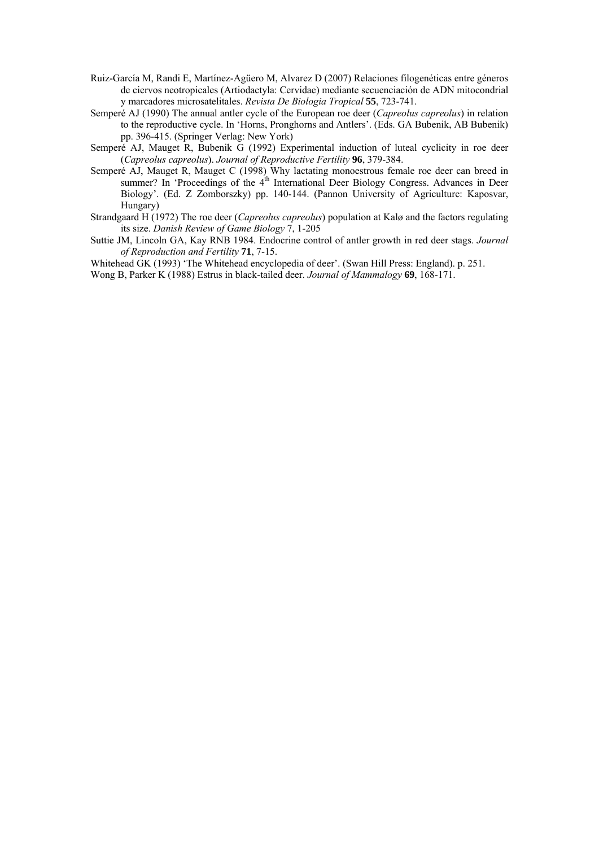- Ruiz-García M, Randi E, Martínez-Agüero M, Alvarez D (2007) Relaciones filogenéticas entre géneros de ciervos neotropicales (Artiodactyla: Cervidae) mediante secuenciación de ADN mitocondrial y marcadores microsatelitales. *Revista De Biologia Tropical* **55**, 723-741.
- Semperé AJ (1990) The annual antler cycle of the European roe deer (*Capreolus capreolus*) in relation to the reproductive cycle. In 'Horns, Pronghorns and Antlers'. (Eds. GA Bubenik, AB Bubenik) pp. 396-415. (Springer Verlag: New York)
- Semperé AJ, Mauget R, Bubenik G (1992) Experimental induction of luteal cyclicity in roe deer (*Capreolus capreolus*). *Journal of Reproductive Fertility* **96**, 379-384.
- Semperé AJ, Mauget R, Mauget C (1998) Why lactating monoestrous female roe deer can breed in summer? In 'Proceedings of the  $4<sup>th</sup>$  International Deer Biology Congress. Advances in Deer Biology'. (Ed. Z Zomborszky) pp. 140-144. (Pannon University of Agriculture: Kaposvar, Hungary)
- Strandgaard H (1972) The roe deer (*Capreolus capreolus*) population at Kalø and the factors regulating its size. *Danish Review of Game Biology* 7, 1-205
- Suttie JM, Lincoln GA, Kay RNB 1984. Endocrine control of antler growth in red deer stags. *Journal of Reproduction and Fertility* **71**, 7-15.

Whitehead GK (1993) 'The Whitehead encyclopedia of deer'. (Swan Hill Press: England). p. 251.

Wong B, Parker K (1988) Estrus in black-tailed deer. *Journal of Mammalogy* **69**, 168-171.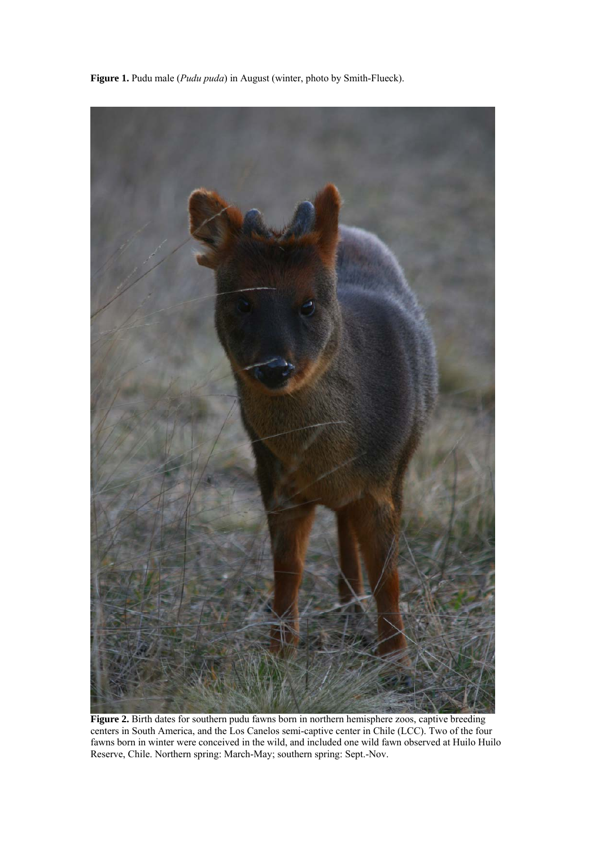

**Figure 1.** Pudu male (*Pudu puda*) in August (winter, photo by Smith-Flueck).

Figure 2. Birth dates for southern pudu fawns born in northern hemisphere zoos, captive breeding centers in South America, and the Los Canelos semi-captive center in Chile (LCC). Two of the four fawns born in winter were conceived in the wild, and included one wild fawn observed at Huilo Huilo Reserve, Chile. Northern spring: March-May; southern spring: Sept.-Nov.